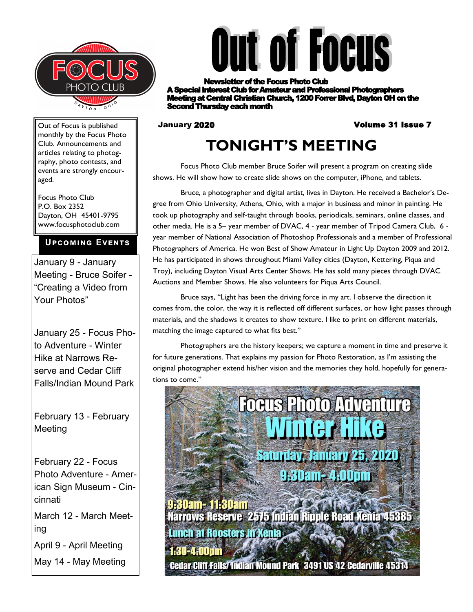



r of the Focus Photo Club **A Rest Club for Amateur and Professional Photographers ng at Central Christian Church, 1200 Forrer Blvd, Dayton OH on the** Second Thursday each month

#### January 2020 Volume 31 Issue 7

## **TONIGHT'S MEETING**

Focus Photo Club member Bruce Soifer will present a program on creating slide shows. He will show how to create slide shows on the computer, iPhone, and tablets.

Bruce, a photographer and digital artist, lives in Dayton. He received a Bachelor's Degree from Ohio University, Athens, Ohio, with a major in business and minor in painting. He took up photography and self-taught through books, periodicals, seminars, online classes, and other media. He is a 5– year member of DVAC, 4 - year member of Tripod Camera Club, 6 year member of National Association of Photoshop Professionals and a member of Professional Photographers of America. He won Best of Show Amateur in Light Up Dayton 2009 and 2012. He has participated in shows throughout Miami Valley cities (Dayton, Kettering, Piqua and Troy), including Dayton Visual Arts Center Shows. He has sold many pieces through DVAC Auctions and Member Shows. He also volunteers for Piqua Arts Council.

Bruce says, "Light has been the driving force in my art. I observe the direction it comes from, the color, the way it is reflected off different surfaces, or how light passes through materials, and the shadows it creates to show texture. I like to print on different materials, matching the image captured to what fits best."

Photographers are the history keepers; we capture a moment in time and preserve it for future generations. That explains my passion for Photo Restoration, as I'm assisting the original photographer extend his/her vision and the memories they hold, hopefully for generations to come."



Narrows Reserve 2575 Indian Ripple Road Xenia 45385 Lunch at Roosters in Xenia 1:30-4:00pm

**Cedar Cliff Falls/Indian Mound Park 3491 US 42 Cedarville 45314** 

Out of Focus is published monthly by the Focus Photo Club. Announcements and articles relating to photography, photo contests, and events are strongly encouraged.

Focus Photo Club P.O. Box 2352 Dayton, OH 45401-9795 www.focusphotoclub.com

#### **Upcoming Events**

January 9 - January Meeting - Bruce Soifer - "Creating a Video from Your Photos"

January 25 - Focus Photo Adventure - Winter Hike at Narrows Reserve and Cedar Cliff Falls/Indian Mound Park

February 13 - February Meeting

February 22 - Focus Photo Adventure - American Sign Museum - Cincinnati March 12 - March Meeting April 9 - April Meeting May 14 - May Meeting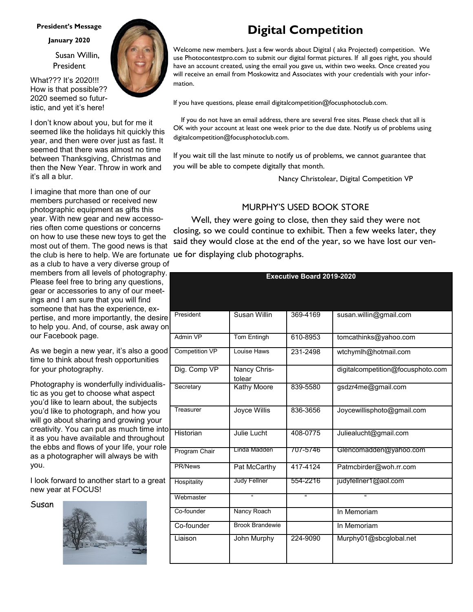#### **President's Message**

**January 2020**

 Susan Willin, President

What??? It's 2020!!! How is that possible?? 2020 seemed so futuristic, and yet it's here!

I don't know about you, but for me it seemed like the holidays hit quickly this year, and then were over just as fast. It seemed that there was almost no time between Thanksgiving, Christmas and then the New Year. Throw in work and it's all a blur.

the club is here to help. We are fortunate ue for displaying club photographs. I imagine that more than one of our members purchased or received new photographic equipment as gifts this year. With new gear and new accessories often come questions or concerns on how to use these new toys to get the most out of them. The good news is that

as a club to have a very diverse group of members from all levels of photography. Please feel free to bring any questions, gear or accessories to any of our meetings and I am sure that you will find someone that has the experience, expertise, and more importantly, the desire to help you. And, of course, ask away on our Facebook page.

As we begin a new year, it's also a good time to think about fresh opportunities for your photography.

Photography is wonderfully individualistic as you get to choose what aspect you'd like to learn about, the subjects you'd like to photograph, and how you will go about sharing and growing your creativity. You can put as much time into it as you have available and throughout the ebbs and flows of your life, your role as a photographer will always be with you.

I look forward to another start to a great new year at FOCUS!

Susan





## **Digital Competition**

Welcome new members. Just a few words about Digital ( aka Projected) competition. We use Photocontestpro.com to submit our digital format pictures. If all goes right, you should have an account created, using the email you gave us, within two weeks. Once created you will receive an email from Moskowitz and Associates with your credentials with your information.

If you have questions, please email digitalcompetition@focusphotoclub.com.

 If you do not have an email address, there are several free sites. Please check that all is OK with your account at least one week prior to the due date. Notify us of problems using digitalcompetition@focusphotoclub.com.

If you wait till the last minute to notify us of problems, we cannot guarantee that you will be able to compete digitally that month.

Nancy Christolear, Digital Competition VP

#### MURPHY'S USED BOOK STORE

 Well, they were going to close, then they said they were not closing, so we could continue to exhibit. Then a few weeks later, they said they would close at the end of the year, so we have lost our ven-

| <b>Executive Board 2019-2020</b> |                        |          |                                   |  |  |  |  |  |
|----------------------------------|------------------------|----------|-----------------------------------|--|--|--|--|--|
|                                  |                        |          |                                   |  |  |  |  |  |
|                                  |                        |          |                                   |  |  |  |  |  |
| President                        | Susan Willin           | 369-4169 | susan.willin@gmail.com            |  |  |  |  |  |
|                                  |                        |          |                                   |  |  |  |  |  |
| Admin VP                         | <b>Tom Entingh</b>     | 610-8953 | tomcathinks@yahoo.com             |  |  |  |  |  |
| <b>Competition VP</b>            | Louise Haws            | 231-2498 | wtchymlh@hotmail.com              |  |  |  |  |  |
| Dig. Comp VP                     | Nancy Chris-<br>tolear |          | digitalcompetition@focusphoto.com |  |  |  |  |  |
| Secretary                        | Kathy Moore            | 839-5580 | gsdzr4me@gmail.com                |  |  |  |  |  |
| Treasurer                        | Joyce Willis           | 836-3656 | Joycewillisphoto@gmail.com        |  |  |  |  |  |
| Historian                        | Julie Lucht            | 408-0775 | Juliealucht@gmail.com             |  |  |  |  |  |
| Program Chair                    | Linda Madden           | 707-5746 | Glencomadden@yahoo.com            |  |  |  |  |  |
| <b>PR/News</b>                   | Pat McCarthy           | 417-4124 | Patmcbirder@woh.rr.com            |  |  |  |  |  |
| Hospitality                      | Judy Fellner           | 554-2216 | judyfellner1@aol.com              |  |  |  |  |  |
| Webmaster                        | $\mathfrak{g}$         | u.       | $\mathbf{u}$                      |  |  |  |  |  |
| Co-founder                       | Nancy Roach            |          | In Memoriam                       |  |  |  |  |  |
| Co-founder                       | <b>Brook Brandewie</b> |          | In Memoriam                       |  |  |  |  |  |
| Liaison                          | John Murphy            | 224-9090 | Murphy01@sbcglobal.net            |  |  |  |  |  |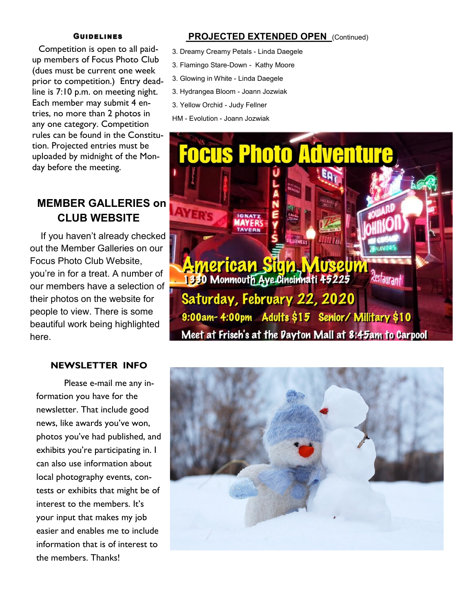#### **GUIDELINES**

 Competition is open to all paidup members of Focus Photo Club (dues must be current one week prior to competition.) Entry deadline is 7:10 p.m. on meeting night. Each member may submit 4 entries, no more than 2 photos in any one category. Competition rules can be found in the Constitution. Projected entries must be uploaded by midnight of the Monday before the meeting.

## **MEMBER GALLERIES on CLUB WEBSITE**

 If you haven't already checked out the Member Galleries on our Focus Photo Club Website, you're in for a treat. A number of our members have a selection of their photos on the website for people to view. There is some beautiful work being highlighted here.

#### **NEWSLETTER INFO**

Please e-mail me any information you have for the newsletter. That include good news, like awards you've won, photos you've had published, and exhibits you're participating in. I can also use information about local photography events, contests or exhibits that might be of interest to the members. It's your input that makes my job easier and enables me to include information that is of interest to the members. Thanks!

#### **PROJECTED EXTENDED OPEN** (Continued)

- 3. Dreamy Creamy Petals Linda Daegele
- 3. Flamingo Stare-Down Kathy Moore
- 3. Glowing in White Linda Daegele
- 3. Hydrangea Bloom Joann Jozwiak
- 3. Yellow Orchid Judy Fellner

HM - Evolution - Joann Jozwiak



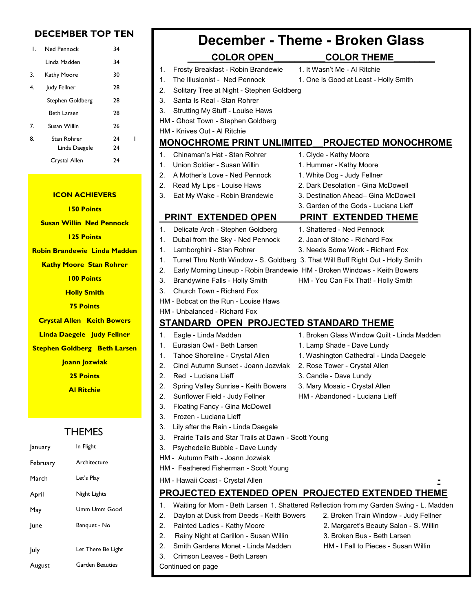#### **DECEMBER TOP TEN**

| L. | Ned Pennock      | 34 |  |
|----|------------------|----|--|
|    | Linda Madden     | 34 |  |
| 3. | Kathy Moore      | 30 |  |
| 4. | Judy Fellner     | 28 |  |
|    | Stephen Goldberg | 28 |  |
|    | Beth Larsen      | 28 |  |
| 7. | Susan Willin     | 26 |  |
| 8. | Stan Rohrer      | 74 |  |
|    | Linda Daegele    | 24 |  |
|    | Crystal Allen    | 74 |  |

#### **ICON ACHIEVERS 150 Points**

**Susan Willin Ned Pennock**

**125 Points**

**Robin Brandewie Linda Madden**

**Kathy Moore Stan Rohrer**

- **100 Points**
- **Holly Smith**

**75 Points**

**Crystal Allen Keith Bowers**

- **Linda Daegele Judy Fellner**
- **Stephen Goldberg Beth Larsen**
	- **Joann Jozwiak**
		- **25 Points**

**Al Ritchie**

#### THEMES

| January  | In Flight          |  |  |  |
|----------|--------------------|--|--|--|
| February | Architecture       |  |  |  |
| March    | Let's Play         |  |  |  |
| April    | Night Lights       |  |  |  |
| May      | Umm Umm Good       |  |  |  |
| lune     | Banquet - No       |  |  |  |
|          |                    |  |  |  |
| July     | Let There Be Light |  |  |  |
| August   | Garden Beauties    |  |  |  |

# **December - Theme - Broken Glass**

- **COLOR OPEN\_\_\_\_\_\_\_\_\_\_COLOR THEME\_\_\_\_\_\_\_\_** 1. Frosty Breakfast - Robin Brandewie 1. It Wasn't Me - Al Ritchie 1. The Illusionist - Ned Pennock 1. One is Good at Least - Holly Smith 2. Solitary Tree at Night - Stephen Goldberg 3. Santa Is Real - Stan Rohrer 3. Strutting My Stuff - Louise Haws HM - Ghost Town - Stephen Goldberg HM - Knives Out - Al Ritchie **MONOCHROME PRINT UNLIMITED\_\_PROJECTED MONOCHROME**  1. Chinaman's Hat - Stan Rohrer 1. Clyde - Kathy Moore 1. Union Soldier - Susan Willin 1. Hummer - Kathy Moore 2. A Mother's Love - Ned Pennock 1. White Dog - Judy Fellner 2. Read My Lips - Louise Haws 2. Dark Desolation - Gina McDowell 3. Eat My Wake - Robin Brandewie 3. Destination Ahead– Gina McDowell 3. Garden of the Gods - Luciana Lieff  **PRINT EXTENDED OPEN PRINT EXTENDED THEME** 1. Delicate Arch - Stephen Goldberg 1. Shattered - Ned Pennock 1. Dubai from the Sky - Ned Pennock 2. Joan of Stone - Richard Fox 1. Lamborghini - Stan Rohrer 3. Needs Some Work - Richard Fox 1. Turret Thru North Window - S. Goldberg 3. That Will Buff Right Out - Holly Smith 2. Early Morning Lineup - Robin Brandewie HM - Broken Windows - Keith Bowers 3. Brandywine Falls - Holly Smith HM - You Can Fix That! - Holly Smith 3. Church Town - Richard Fox HM - Bobcat on the Run - Louise Haws HM - Unbalanced - Richard Fox **STANDARD OPEN PROJECTED STANDARD THEME** 1. Eagle - Linda Madden 1. Broken Glass Window Quilt - Linda Madden 1. Eurasian Owl - Beth Larsen 1. Lamp Shade - Dave Lundy 1. Tahoe Shoreline - Crystal Allen 1. Washington Cathedral - Linda Daegele 2. Cinci Autumn Sunset - Joann Jozwiak 2. Rose Tower - Crystal Allen 2. Red - Luciana Lieff 3. Candle - Dave Lundy 2. Spring Valley Sunrise - Keith Bowers 3. Mary Mosaic - Crystal Allen 2. Sunflower Field - Judy Fellner HM - Abandoned - Luciana Lieff 3. Floating Fancy - Gina McDowell 3. Frozen - Luciana Lieff 3. Lily after the Rain - Linda Daegele 3. Prairie Tails and Star Trails at Dawn - Scott Young 3. Psychedelic Bubble - Dave Lundy HM - Autumn Path - Joann Jozwiak HM - Feathered Fisherman - Scott Young HM - Hawaii Coast - Crystal Allen **- PROJECTED EXTENDED OPEN PROJECTED EXTENDED THEME** 1. Waiting for Mom - Beth Larsen 1. Shattered Reflection from my Garden Swing - L. Madden 2. Dayton at Dusk from Deeds - Keith Bowers 2. Broken Train Window - Judy Fellner 2. Painted Ladies - Kathy Moore 2. Margaret's Beauty Salon - S. Willin
	- 2. Rainy Night at Carillon Susan Willin 3. Broken Bus Beth Larsen
	- 3. Crimson Leaves Beth Larsen
	- Continued on page
- 
- 2. Smith Gardens Monet Linda Madden HM I Fall to Pieces Susan Willin